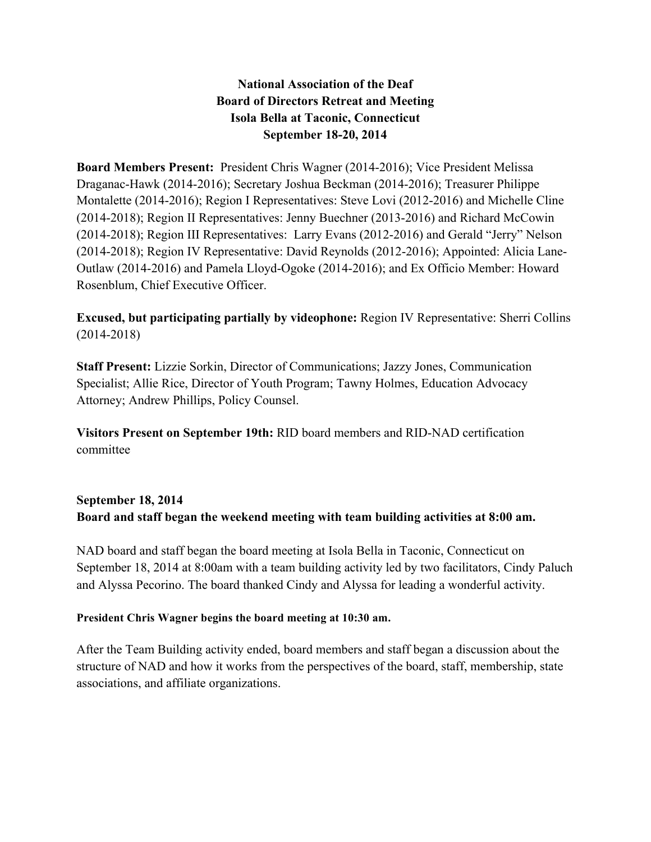## **National Association of the Deaf Board of Directors Retreat and Meeting Isola Bella at Taconic, Connecticut September 18-20, 2014**

**Board Members Present:** President Chris Wagner (2014-2016); Vice President Melissa Draganac-Hawk (2014-2016); Secretary Joshua Beckman (2014-2016); Treasurer Philippe Montalette (2014-2016); Region I Representatives: Steve Lovi (2012-2016) and Michelle Cline (2014-2018); Region II Representatives: Jenny Buechner (2013-2016) and Richard McCowin (2014-2018); Region III Representatives: Larry Evans (2012-2016) and Gerald "Jerry" Nelson (2014-2018); Region IV Representative: David Reynolds (2012-2016); Appointed: Alicia Lane-Outlaw (2014-2016) and Pamela Lloyd-Ogoke (2014-2016); and Ex Officio Member: Howard Rosenblum, Chief Executive Officer.

**Excused, but participating partially by videophone:** Region IV Representative: Sherri Collins (2014-2018)

**Staff Present:** Lizzie Sorkin, Director of Communications; Jazzy Jones, Communication Specialist; Allie Rice, Director of Youth Program; Tawny Holmes, Education Advocacy Attorney; Andrew Phillips, Policy Counsel.

**Visitors Present on September 19th:** RID board members and RID-NAD certification committee

# **September 18, 2014 Board and staff began the weekend meeting with team building activities at 8:00 am.**

NAD board and staff began the board meeting at Isola Bella in Taconic, Connecticut on September 18, 2014 at 8:00am with a team building activity led by two facilitators, Cindy Paluch and Alyssa Pecorino. The board thanked Cindy and Alyssa for leading a wonderful activity.

#### **President Chris Wagner begins the board meeting at 10:30 am.**

After the Team Building activity ended, board members and staff began a discussion about the structure of NAD and how it works from the perspectives of the board, staff, membership, state associations, and affiliate organizations.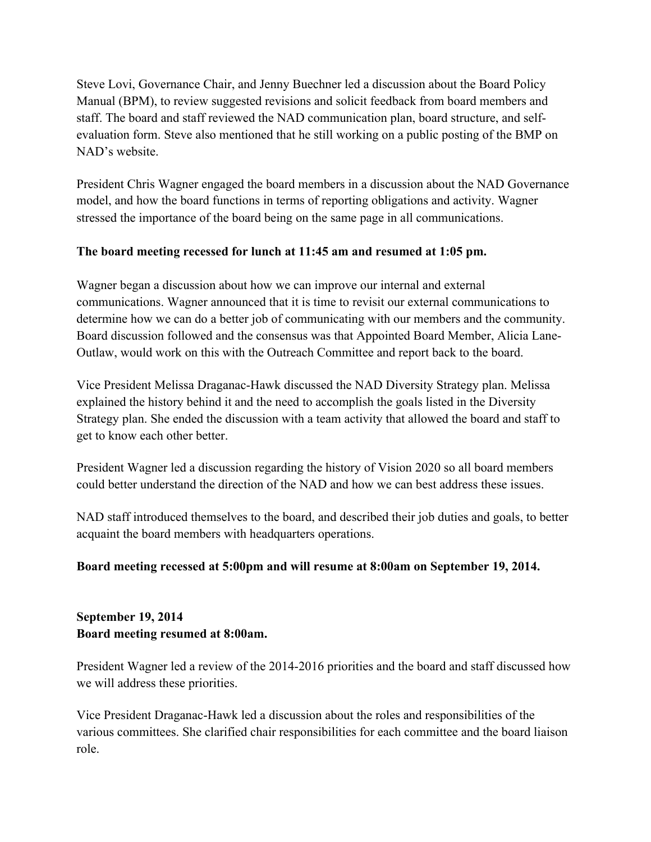Steve Lovi, Governance Chair, and Jenny Buechner led a discussion about the Board Policy Manual (BPM), to review suggested revisions and solicit feedback from board members and staff. The board and staff reviewed the NAD communication plan, board structure, and selfevaluation form. Steve also mentioned that he still working on a public posting of the BMP on NAD's website.

President Chris Wagner engaged the board members in a discussion about the NAD Governance model, and how the board functions in terms of reporting obligations and activity. Wagner stressed the importance of the board being on the same page in all communications.

## **The board meeting recessed for lunch at 11:45 am and resumed at 1:05 pm.**

Wagner began a discussion about how we can improve our internal and external communications. Wagner announced that it is time to revisit our external communications to determine how we can do a better job of communicating with our members and the community. Board discussion followed and the consensus was that Appointed Board Member, Alicia Lane-Outlaw, would work on this with the Outreach Committee and report back to the board.

Vice President Melissa Draganac-Hawk discussed the NAD Diversity Strategy plan. Melissa explained the history behind it and the need to accomplish the goals listed in the Diversity Strategy plan. She ended the discussion with a team activity that allowed the board and staff to get to know each other better.

President Wagner led a discussion regarding the history of Vision 2020 so all board members could better understand the direction of the NAD and how we can best address these issues.

NAD staff introduced themselves to the board, and described their job duties and goals, to better acquaint the board members with headquarters operations.

#### **Board meeting recessed at 5:00pm and will resume at 8:00am on September 19, 2014.**

## **September 19, 2014 Board meeting resumed at 8:00am.**

President Wagner led a review of the 2014-2016 priorities and the board and staff discussed how we will address these priorities.

Vice President Draganac-Hawk led a discussion about the roles and responsibilities of the various committees. She clarified chair responsibilities for each committee and the board liaison role.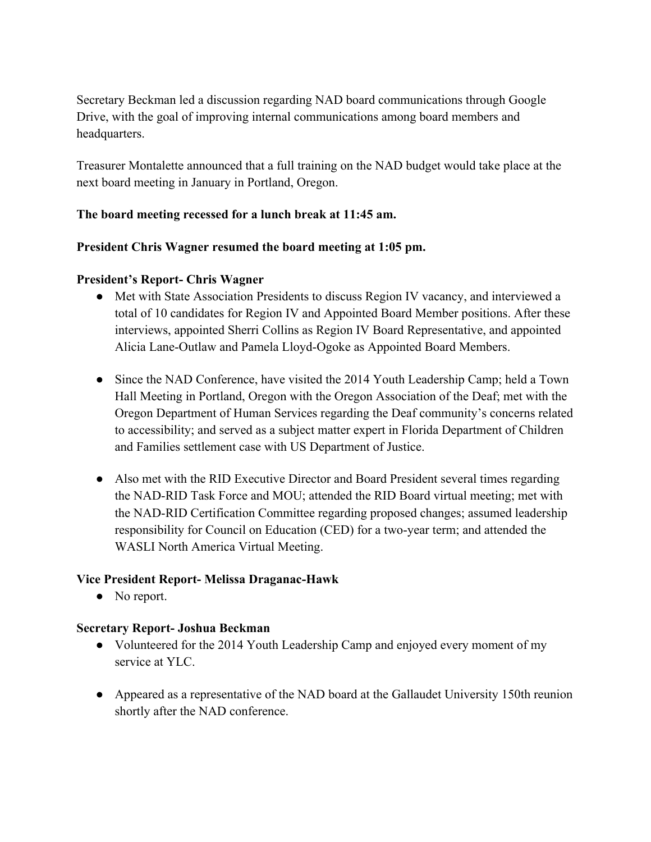Secretary Beckman led a discussion regarding NAD board communications through Google Drive, with the goal of improving internal communications among board members and headquarters.

Treasurer Montalette announced that a full training on the NAD budget would take place at the next board meeting in January in Portland, Oregon.

## **The board meeting recessed for a lunch break at 11:45 am.**

#### **President Chris Wagner resumed the board meeting at 1:05 pm.**

#### **President's Report- Chris Wagner**

- Met with State Association Presidents to discuss Region IV vacancy, and interviewed a total of 10 candidates for Region IV and Appointed Board Member positions. After these interviews, appointed Sherri Collins as Region IV Board Representative, and appointed Alicia Lane-Outlaw and Pamela Lloyd-Ogoke as Appointed Board Members.
- Since the NAD Conference, have visited the 2014 Youth Leadership Camp; held a Town Hall Meeting in Portland, Oregon with the Oregon Association of the Deaf; met with the Oregon Department of Human Services regarding the Deaf community's concerns related to accessibility; and served as a subject matter expert in Florida Department of Children and Families settlement case with US Department of Justice.
- Also met with the RID Executive Director and Board President several times regarding the NAD-RID Task Force and MOU; attended the RID Board virtual meeting; met with the NAD-RID Certification Committee regarding proposed changes; assumed leadership responsibility for Council on Education (CED) for a two-year term; and attended the WASLI North America Virtual Meeting.

#### **Vice President Report- Melissa Draganac-Hawk**

• No report.

#### **Secretary Report- Joshua Beckman**

- Volunteered for the 2014 Youth Leadership Camp and enjoyed every moment of my service at YLC.
- Appeared as a representative of the NAD board at the Gallaudet University 150th reunion shortly after the NAD conference.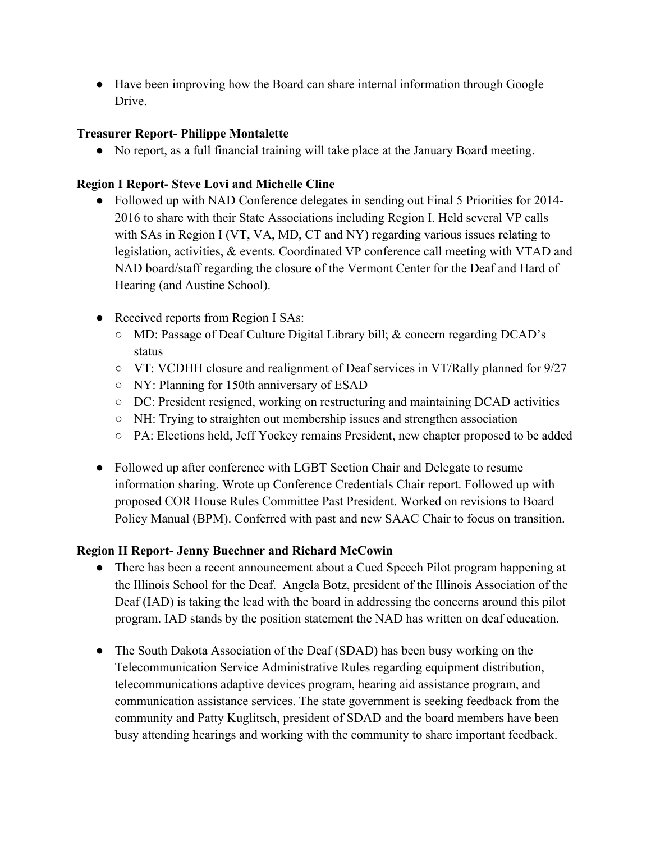● Have been improving how the Board can share internal information through Google Drive.

## **Treasurer Report- Philippe Montalette**

● No report, as a full financial training will take place at the January Board meeting.

## **Region I Report- Steve Lovi and Michelle Cline**

- Followed up with NAD Conference delegates in sending out Final 5 Priorities for 2014-2016 to share with their State Associations including Region I. Held several VP calls with SAs in Region I (VT, VA, MD, CT and NY) regarding various issues relating to legislation, activities, & events. Coordinated VP conference call meeting with VTAD and NAD board/staff regarding the closure of the Vermont Center for the Deaf and Hard of Hearing (and Austine School).
- Received reports from Region I SAs:
	- MD: Passage of Deaf Culture Digital Library bill; & concern regarding DCAD's status
	- VT: VCDHH closure and realignment of Deaf services in VT/Rally planned for 9/27
	- NY: Planning for 150th anniversary of ESAD
	- DC: President resigned, working on restructuring and maintaining DCAD activities
	- NH: Trying to straighten out membership issues and strengthen association
	- PA: Elections held, Jeff Yockey remains President, new chapter proposed to be added
- Followed up after conference with LGBT Section Chair and Delegate to resume information sharing. Wrote up Conference Credentials Chair report. Followed up with proposed COR House Rules Committee Past President. Worked on revisions to Board Policy Manual (BPM). Conferred with past and new SAAC Chair to focus on transition.

#### **Region II Report- Jenny Buechner and Richard McCowin**

- There has been a recent announcement about a Cued Speech Pilot program happening at the Illinois School for the Deaf. Angela Botz, president of the Illinois Association of the Deaf (IAD) is taking the lead with the board in addressing the concerns around this pilot program. IAD stands by the position statement the NAD has written on deaf education.
- The South Dakota Association of the Deaf (SDAD) has been busy working on the Telecommunication Service Administrative Rules regarding equipment distribution, telecommunications adaptive devices program, hearing aid assistance program, and communication assistance services. The state government is seeking feedback from the community and Patty Kuglitsch, president of SDAD and the board members have been busy attending hearings and working with the community to share important feedback.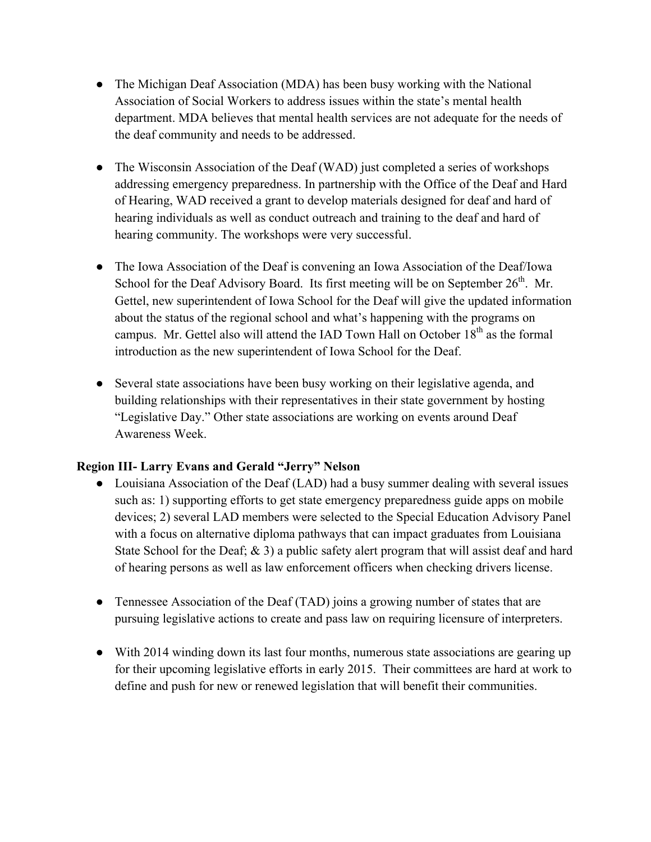- The Michigan Deaf Association (MDA) has been busy working with the National Association of Social Workers to address issues within the state's mental health department. MDA believes that mental health services are not adequate for the needs of the deaf community and needs to be addressed.
- The Wisconsin Association of the Deaf (WAD) just completed a series of workshops addressing emergency preparedness. In partnership with the Office of the Deaf and Hard of Hearing, WAD received a grant to develop materials designed for deaf and hard of hearing individuals as well as conduct outreach and training to the deaf and hard of hearing community. The workshops were very successful.
- The Iowa Association of the Deaf is convening an Iowa Association of the Deaf/Iowa School for the Deaf Advisory Board. Its first meeting will be on September  $26<sup>th</sup>$ . Mr. Gettel, new superintendent of Iowa School for the Deaf will give the updated information about the status of the regional school and what's happening with the programs on campus. Mr. Gettel also will attend the IAD Town Hall on October 18<sup>th</sup> as the formal introduction as the new superintendent of Iowa School for the Deaf.
- Several state associations have been busy working on their legislative agenda, and building relationships with their representatives in their state government by hosting "Legislative Day." Other state associations are working on events around Deaf Awareness Week.

#### **Region III- Larry Evans and Gerald "Jerry" Nelson**

- Louisiana Association of the Deaf (LAD) had a busy summer dealing with several issues such as: 1) supporting efforts to get state emergency preparedness guide apps on mobile devices; 2) several LAD members were selected to the Special Education Advisory Panel with a focus on alternative diploma pathways that can impact graduates from Louisiana State School for the Deaf;  $\&$  3) a public safety alert program that will assist deaf and hard of hearing persons as well as law enforcement officers when checking drivers license.
- Tennessee Association of the Deaf (TAD) joins a growing number of states that are pursuing legislative actions to create and pass law on requiring licensure of interpreters.
- With 2014 winding down its last four months, numerous state associations are gearing up for their upcoming legislative efforts in early 2015. Their committees are hard at work to define and push for new or renewed legislation that will benefit their communities.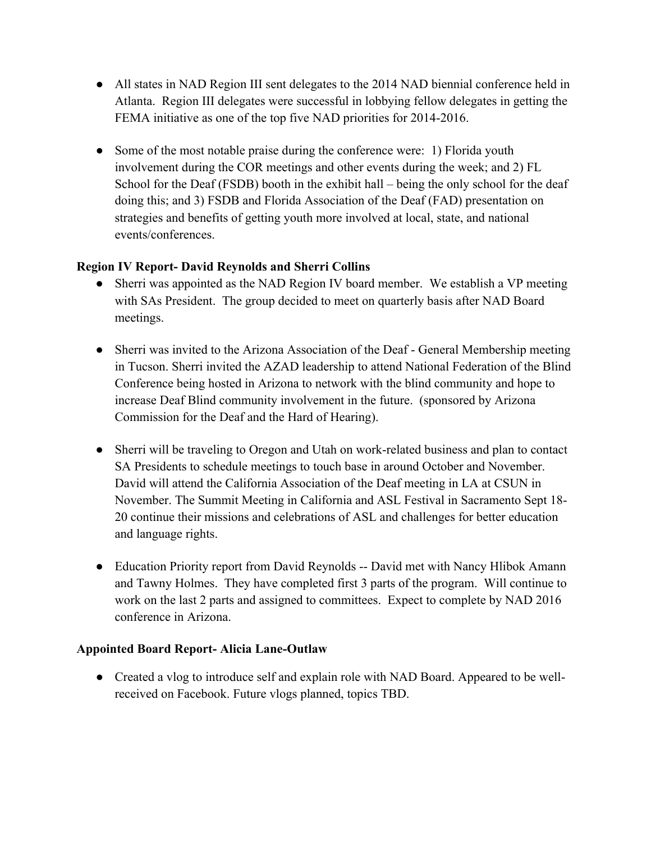- All states in NAD Region III sent delegates to the 2014 NAD biennial conference held in Atlanta. Region III delegates were successful in lobbying fellow delegates in getting the FEMA initiative as one of the top five NAD priorities for 2014-2016.
- Some of the most notable praise during the conference were: 1) Florida youth involvement during the COR meetings and other events during the week; and 2) FL School for the Deaf (FSDB) booth in the exhibit hall – being the only school for the deaf doing this; and 3) FSDB and Florida Association of the Deaf (FAD) presentation on strategies and benefits of getting youth more involved at local, state, and national events/conferences.

## **Region IV Report- David Reynolds and Sherri Collins**

- Sherri was appointed as the NAD Region IV board member. We establish a VP meeting with SAs President. The group decided to meet on quarterly basis after NAD Board meetings.
- Sherri was invited to the Arizona Association of the Deaf General Membership meeting in Tucson. Sherri invited the AZAD leadership to attend National Federation of the Blind Conference being hosted in Arizona to network with the blind community and hope to increase Deaf Blind community involvement in the future. (sponsored by Arizona Commission for the Deaf and the Hard of Hearing).
- Sherri will be traveling to Oregon and Utah on work-related business and plan to contact SA Presidents to schedule meetings to touch base in around October and November. David will attend the California Association of the Deaf meeting in LA at CSUN in November. The Summit Meeting in California and ASL Festival in Sacramento Sept 18- 20 continue their missions and celebrations of ASL and challenges for better education and language rights.
- Education Priority report from David Reynolds -- David met with Nancy Hlibok Amann and Tawny Holmes. They have completed first 3 parts of the program. Will continue to work on the last 2 parts and assigned to committees. Expect to complete by NAD 2016 conference in Arizona.

#### **Appointed Board Report- Alicia Lane-Outlaw**

• Created a vlog to introduce self and explain role with NAD Board. Appeared to be wellreceived on Facebook. Future vlogs planned, topics TBD.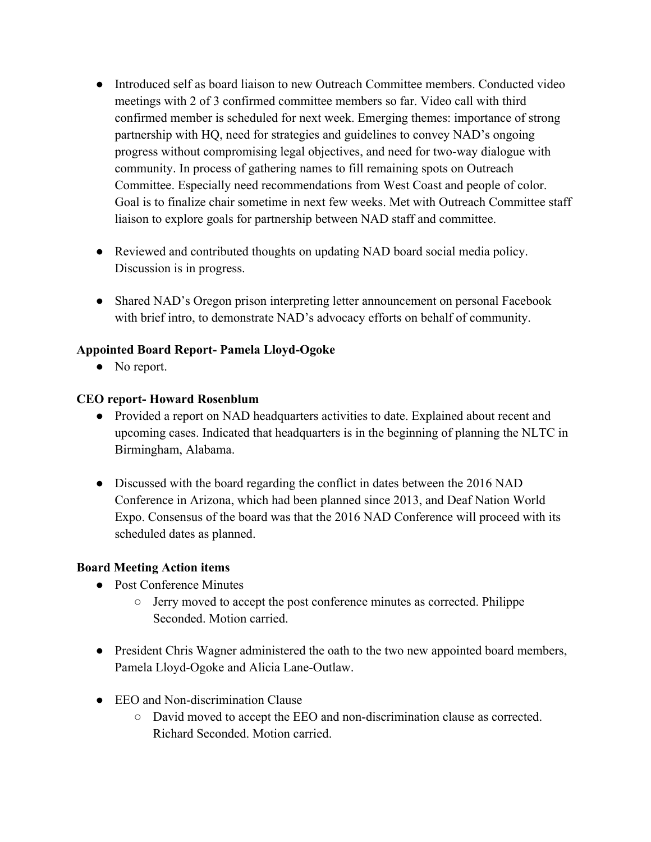- Introduced self as board liaison to new Outreach Committee members. Conducted video meetings with 2 of 3 confirmed committee members so far. Video call with third confirmed member is scheduled for next week. Emerging themes: importance of strong partnership with HQ, need for strategies and guidelines to convey NAD's ongoing progress without compromising legal objectives, and need for two-way dialogue with community. In process of gathering names to fill remaining spots on Outreach Committee. Especially need recommendations from West Coast and people of color. Goal is to finalize chair sometime in next few weeks. Met with Outreach Committee staff liaison to explore goals for partnership between NAD staff and committee.
- Reviewed and contributed thoughts on updating NAD board social media policy. Discussion is in progress.
- Shared NAD's Oregon prison interpreting letter announcement on personal Facebook with brief intro, to demonstrate NAD's advocacy efforts on behalf of community.

## **Appointed Board Report- Pamela Lloyd-Ogoke**

• No report.

## **CEO report- Howard Rosenblum**

- Provided a report on NAD headquarters activities to date. Explained about recent and upcoming cases. Indicated that headquarters is in the beginning of planning the NLTC in Birmingham, Alabama.
- Discussed with the board regarding the conflict in dates between the 2016 NAD Conference in Arizona, which had been planned since 2013, and Deaf Nation World Expo. Consensus of the board was that the 2016 NAD Conference will proceed with its scheduled dates as planned.

#### **Board Meeting Action items**

- Post Conference Minutes
	- Jerry moved to accept the post conference minutes as corrected. Philippe Seconded. Motion carried.
- President Chris Wagner administered the oath to the two new appointed board members, Pamela Lloyd-Ogoke and Alicia Lane-Outlaw.
- EEO and Non-discrimination Clause
	- David moved to accept the EEO and non-discrimination clause as corrected. Richard Seconded. Motion carried.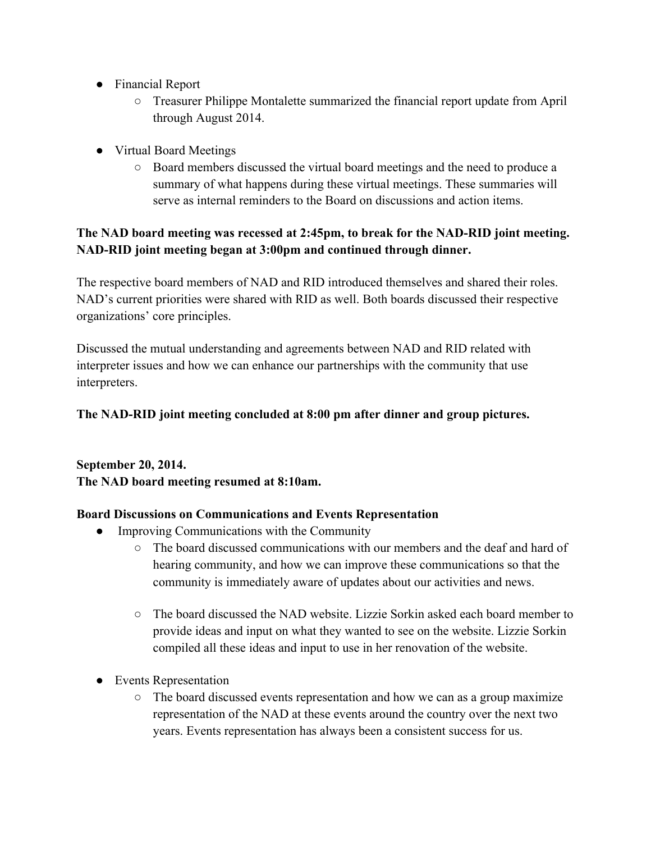- Financial Report
	- Treasurer Philippe Montalette summarized the financial report update from April through August 2014.
- Virtual Board Meetings
	- Board members discussed the virtual board meetings and the need to produce a summary of what happens during these virtual meetings. These summaries will serve as internal reminders to the Board on discussions and action items.

## **The NAD board meeting was recessed at 2:45pm, to break for the NAD-RID joint meeting. NAD-RID joint meeting began at 3:00pm and continued through dinner.**

The respective board members of NAD and RID introduced themselves and shared their roles. NAD's current priorities were shared with RID as well. Both boards discussed their respective organizations' core principles.

Discussed the mutual understanding and agreements between NAD and RID related with interpreter issues and how we can enhance our partnerships with the community that use interpreters.

## **The NAD-RID joint meeting concluded at 8:00 pm after dinner and group pictures.**

**September 20, 2014. The NAD board meeting resumed at 8:10am.**

## **Board Discussions on Communications and Events Representation**

- Improving Communications with the Community
	- The board discussed communications with our members and the deaf and hard of hearing community, and how we can improve these communications so that the community is immediately aware of updates about our activities and news.
	- $\circ$  The board discussed the NAD website. Lizzie Sorkin asked each board member to provide ideas and input on what they wanted to see on the website. Lizzie Sorkin compiled all these ideas and input to use in her renovation of the website.
- Events Representation
	- $\circ$  The board discussed events representation and how we can as a group maximize representation of the NAD at these events around the country over the next two years. Events representation has always been a consistent success for us.